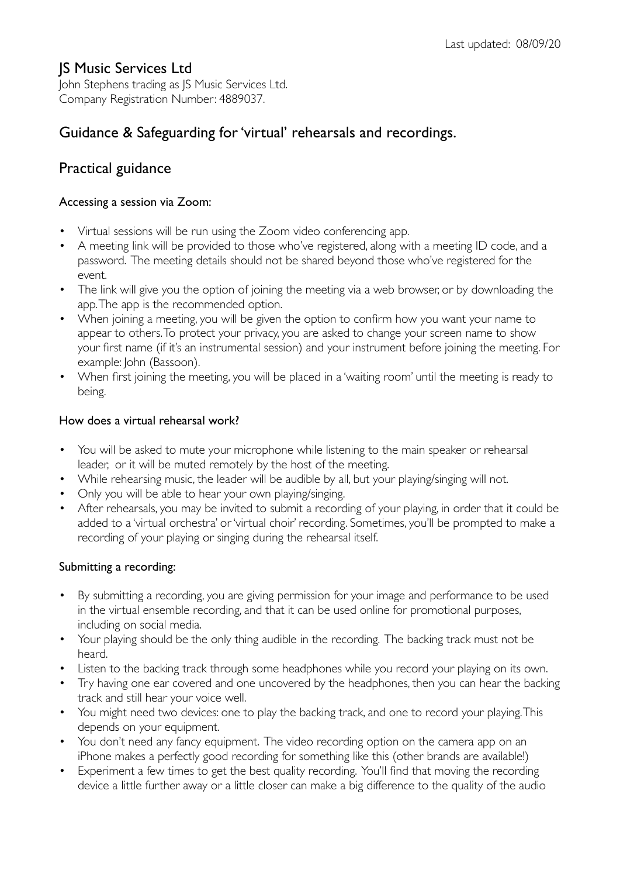### JS Music Services Ltd

John Stephens trading as JS Music Services Ltd. Company Registration Number: 4889037.

# Guidance & Safeguarding for 'virtual' rehearsals and recordings.

## Practical guidance

#### Accessing a session via Zoom:

- Virtual sessions will be run using the Zoom video conferencing app.
- A meeting link will be provided to those who've registered, along with a meeting ID code, and a password. The meeting details should not be shared beyond those who've registered for the event.
- The link will give you the option of joining the meeting via a web browser, or by downloading the app. The app is the recommended option.
- When joining a meeting, you will be given the option to confirm how you want your name to appear to others. To protect your privacy, you are asked to change your screen name to show your first name (if it's an instrumental session) and your instrument before joining the meeting. For example: John (Bassoon).
- When first joining the meeting, you will be placed in a 'waiting room' until the meeting is ready to being.

#### How does a virtual rehearsal work?

- You will be asked to mute your microphone while listening to the main speaker or rehearsal leader, or it will be muted remotely by the host of the meeting.
- While rehearsing music, the leader will be audible by all, but your playing/singing will not.
- Only you will be able to hear your own playing/singing.
- After rehearsals, you may be invited to submit a recording of your playing, in order that it could be added to a 'virtual orchestra' or 'virtual choir' recording. Sometimes, you'll be prompted to make a recording of your playing or singing during the rehearsal itself.

### Submitting a recording:

- By submitting a recording, you are giving permission for your image and performance to be used in the virtual ensemble recording, and that it can be used online for promotional purposes, including on social media.
- Your playing should be the only thing audible in the recording. The backing track must not be heard.
- Listen to the backing track through some headphones while you record your playing on its own.
- Try having one ear covered and one uncovered by the headphones, then you can hear the backing track and still hear your voice well.
- You might need two devices: one to play the backing track, and one to record your playing. This depends on your equipment.
- You don't need any fancy equipment. The video recording option on the camera app on an iPhone makes a perfectly good recording for something like this (other brands are available!)
- Experiment a few times to get the best quality recording. You'll find that moving the recording device a little further away or a little closer can make a big difference to the quality of the audio